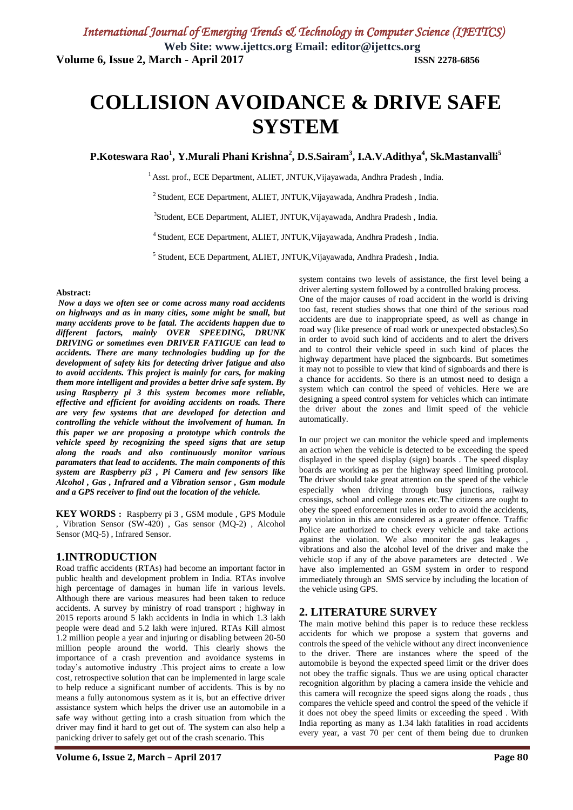# **COLLISION AVOIDANCE & DRIVE SAFE SYSTEM**

**P.Koteswara Rao<sup>1</sup> , Y.Murali Phani Krishna<sup>2</sup> , D.S.Sairam<sup>3</sup> , I.A.V.Adithya<sup>4</sup> , Sk.Mastanvalli<sup>5</sup>**

<sup>1</sup> Asst. prof., ECE Department, ALIET, JNTUK, Vijayawada, Andhra Pradesh, India.

 $^{2}$ Student, ECE Department, ALIET, JNTUK, Vijayawada, Andhra Pradesh, India.

3 Student, ECE Department, ALIET, JNTUK,Vijayawada, Andhra Pradesh , India.

<sup>4</sup> Student, ECE Department, ALIET, JNTUK, Vijayawada, Andhra Pradesh, India.

5 Student, ECE Department, ALIET, JNTUK,Vijayawada, Andhra Pradesh , India.

#### **Abstract:**

*Now a days we often see or come across many road accidents on highways and as in many cities, some might be small, but many accidents prove to be fatal. The accidents happen due to different factors, mainly OVER SPEEDING, DRUNK DRIVING or sometimes even DRIVER FATIGUE can lead to accidents. There are many technologies budding up for the development of safety kits for detecting driver fatigue and also to avoid accidents. This project is mainly for cars, for making them more intelligent and provides a better drive safe system. By using Raspberry pi 3 this system becomes more reliable, effective and efficient for avoiding accidents on roads. There are very few systems that are developed for detection and controlling the vehicle without the involvement of human. In this paper we are proposing a prototype which controls the vehicle speed by recognizing the speed signs that are setup along the roads and also continuously monitor various paramaters that lead to accidents. The main components of this system are Raspberry pi3 , Pi Camera and few sensors like Alcohol , Gas , Infrared and a Vibration sensor , Gsm module and a GPS receiver to find out the location of the vehicle.*

**KEY WORDS :** Raspberry pi 3 , GSM module , GPS Module , Vibration Sensor (SW-420) , Gas sensor (MQ-2) , Alcohol Sensor (MQ-5) , Infrared Sensor.

# **1.INTRODUCTION**

Road traffic accidents (RTAs) had become an important factor in public health and development problem in India. RTAs involve high percentage of damages in human life in various levels. Although there are various measures had been taken to reduce accidents. A survey by ministry of road transport ; highway in 2015 reports around 5 lakh accidents in India in which 1.3 lakh people were dead and 5.2 lakh were injured. RTAs Kill almost 1.2 million people a year and injuring or disabling between 20-50 million people around the world. This clearly shows the importance of a crash prevention and avoidance systems in today's automotive industry .This project aims to create a low cost, retrospective solution that can be implemented in large scale to help reduce a significant number of accidents. This is by no means a fully autonomous system as it is, but an effective driver assistance system which helps the driver use an automobile in a safe way without getting into a crash situation from which the driver may find it hard to get out of. The system can also help a panicking driver to safely get out of the crash scenario. This

system contains two levels of assistance, the first level being a driver alerting system followed by a controlled braking process. One of the major causes of road accident in the world is driving too fast, recent studies shows that one third of the serious road accidents are due to inappropriate speed, as well as change in road way (like presence of road work or unexpected obstacles).So in order to avoid such kind of accidents and to alert the drivers and to control their vehicle speed in such kind of places the highway department have placed the signboards. But sometimes it may not to possible to view that kind of signboards and there is a chance for accidents. So there is an utmost need to design a system which can control the speed of vehicles. Here we are designing a speed control system for vehicles which can intimate the driver about the zones and limit speed of the vehicle automatically.

In our project we can monitor the vehicle speed and implements an action when the vehicle is detected to be exceeding the speed displayed in the speed display (sign) boards . The speed display boards are working as per the highway speed limiting protocol. The driver should take great attention on the speed of the vehicle especially when driving through busy junctions, railway crossings, school and college zones etc.The citizens are ought to obey the speed enforcement rules in order to avoid the accidents, any violation in this are considered as a greater offence. Traffic Police are authorized to check every vehicle and take actions against the violation. We also monitor the gas leakages , vibrations and also the alcohol level of the driver and make the vehicle stop if any of the above parameters are detected . We have also implemented an GSM system in order to respond immediately through an SMS service by including the location of the vehicle using GPS.

### **2. LITERATURE SURVEY**

The main motive behind this paper is to reduce these reckless accidents for which we propose a system that governs and controls the speed of the vehicle without any direct inconvenience to the driver. There are instances where the speed of the automobile is beyond the expected speed limit or the driver does not obey the traffic signals. Thus we are using optical character recognition algorithm by placing a camera inside the vehicle and this camera will recognize the speed signs along the roads , thus compares the vehicle speed and control the speed of the vehicle if it does not obey the speed limits or exceeding the speed . With India reporting as many as 1.34 lakh fatalities in road accidents every year, a vast 70 per cent of them being due to drunken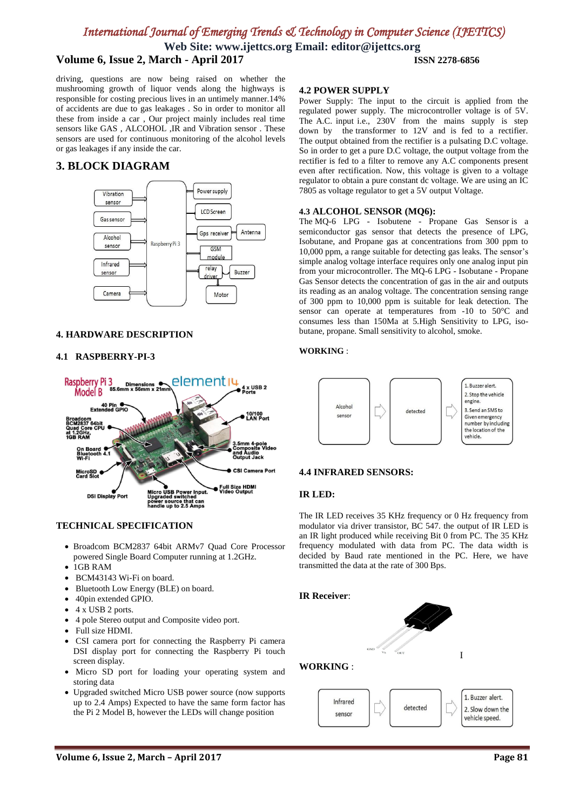# *International Journal of Emerging Trends & Technology in Computer Science (IJETTCS)*

**Web Site: www.ijettcs.org Email: editor@ijettcs.org Volume 6, Issue 2, March - April 2017 ISSN 2278-6856**

driving, questions are now being raised on whether the mushrooming growth of liquor vends along the highways is responsible for costing precious lives in an untimely manner.14% of accidents are due to gas leakages . So in order to monitor all these from inside a car , Our project mainly includes real time sensors like GAS , ALCOHOL ,IR and Vibration sensor . These sensors are used for continuous monitoring of the alcohol levels or gas leakages if any inside the car.

# **3. BLOCK DIAGRAM**



### **4. HARDWARE DESCRIPTION**

### **4.1 RASPBERRY-PI-3**



### **TECHNICAL SPECIFICATION**

- Broadcom BCM2837 64bit ARMv7 Quad Core Processor powered Single Board Computer running at 1.2GHz.
- 1GB RAM
- BCM43143 Wi-Fi on board.
- Bluetooth Low Energy (BLE) on board.
- 40pin extended GPIO.
- 4 x USB 2 ports.
- 4 pole Stereo output and Composite video port.
- Full size HDMI.
- CSI camera port for connecting the Raspberry Pi camera DSI display port for connecting the Raspberry Pi touch screen display.
- Micro SD port for loading your operating system and storing data
- Upgraded switched Micro USB power source (now supports up to 2.4 Amps) Expected to have the same form factor has the Pi 2 Model B, however the LEDs will change position

### **4.2 POWER SUPPLY**

Power Supply: The input to the circuit is applied from the regulated power supply. The microcontroller voltage is of 5V. The A.C. input i.e., 230V from the mains supply is step down by the transformer to 12V and is fed to a rectifier. The output obtained from the rectifier is a pulsating D.C voltage. So in order to get a pure D.C voltage, the output voltage from the rectifier is fed to a filter to remove any A.C components present even after rectification. Now, this voltage is given to a voltage regulator to obtain a pure constant dc voltage. We are using an IC 7805 as voltage regulator to get a 5V output Voltage.

### **4.3 ALCOHOL SENSOR (MQ6):**

The MQ-6 LPG - Isobutene - Propane Gas Sensor is a semiconductor gas sensor that detects the presence of LPG, Isobutane, and Propane gas at concentrations from 300 ppm to 10,000 ppm, a range suitable for detecting gas leaks. The sensor's simple analog voltage interface requires only one analog input pin from your microcontroller. The MQ-6 LPG - Isobutane - Propane Gas Sensor detects the concentration of gas in the air and outputs its reading as an analog voltage. The concentration sensing range of 300 ppm to 10,000 ppm is suitable for leak detection. The sensor can operate at temperatures from -10 to 50°C and consumes less than 150Ma at 5.High Sensitivity to LPG, isobutane, propane. Small sensitivity to alcohol, smoke.

### **WORKING** :



### **4.4 INFRARED SENSORS:**

#### **IR LED:**

The IR LED receives 35 KHz frequency or 0 Hz frequency from modulator via driver transistor, BC 547. the output of IR LED is an IR light produced while receiving Bit 0 from PC. The 35 KHz frequency modulated with data from PC. The data width is decided by Baud rate mentioned in the PC. Here, we have transmitted the data at the rate of 300 Bps.

### **IR Receiver**:

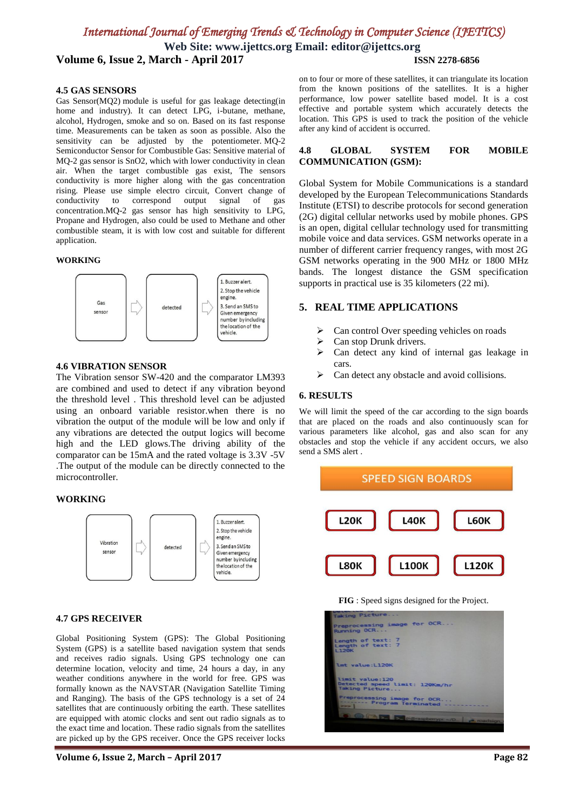# *International Journal of Emerging Trends & Technology in Computer Science (IJETTCS)*

**Web Site: www.ijettcs.org Email: editor@ijettcs.org Volume 6, Issue 2, March - April 2017 ISSN 2278-6856**

## **4.5 GAS SENSORS**

Gas Sensor(MQ2) module is useful for gas leakage detecting(in home and industry). It can detect LPG, i-butane, methane, alcohol, Hydrogen, smoke and so on. Based on its fast response time. Measurements can be taken as soon as possible. Also the sensitivity can be adjusted by the potentiometer. MQ-2 Semiconductor Sensor for Combustible Gas: Sensitive material of MQ-2 gas sensor is SnO2, which with lower conductivity in clean air. When the target combustible gas exist, The sensors conductivity is more higher along with the gas concentration rising. Please use simple electro circuit, Convert change of conductivity to correspond output signal of gas conductivity to correspond output signal of concentration.MQ-2 gas sensor has high sensitivity to LPG, Propane and Hydrogen, also could be used to Methane and other combustible steam, it is with low cost and suitable for different application.

### **WORKING**



### **4.6 VIBRATION SENSOR**

The Vibration sensor SW-420 and the comparator LM393 are combined and used to detect if any vibration beyond the threshold level . This threshold level can be adjusted using an onboard variable resistor.when there is no vibration the output of the module will be low and only if any vibrations are detected the output logics will become high and the LED glows.The driving ability of the comparator can be 15mA and the rated voltage is 3.3V -5V .The output of the module can be directly connected to the microcontroller.

### **WORKING**



### **4.7 GPS RECEIVER**

Global Positioning System (GPS): The Global Positioning System (GPS) is a satellite based navigation system that sends and receives radio signals. Using GPS technology one can determine location, velocity and time, 24 hours a day, in any weather conditions anywhere in the world for free. GPS was formally known as the NAVSTAR (Navigation Satellite Timing and Ranging). The basis of the GPS technology is a set of 24 satellites that are continuously orbiting the earth. These satellites are equipped with atomic clocks and sent out radio signals as to the exact time and location. These radio signals from the satellites are picked up by the GPS receiver. Once the GPS receiver locks

on to four or more of these satellites, it can triangulate its location from the known positions of the satellites. It is a higher performance, low power satellite based model. It is a cost effective and portable system which accurately detects the location. This GPS is used to track the position of the vehicle after any kind of accident is occurred.

### **4.8 GLOBAL SYSTEM FOR MOBILE COMMUNICATION (GSM):**

Global System for Mobile Communications is a standard developed by the European Telecommunications Standards Institute (ETSI) to describe protocols for second generation (2G) digital cellular networks used by mobile phones. GPS is an open, digital cellular technology used for transmitting mobile voice and data services. GSM networks operate in a number of different carrier frequency ranges, with most 2G GSM networks operating in the 900 MHz or 1800 MHz bands. The longest distance the GSM specification supports in practical use is 35 kilometers (22 mi).

### **5. REAL TIME APPLICATIONS**

- $\triangleright$  Can control Over speeding vehicles on roads<br> $\triangleright$  Can stop Drunk drivers
- $\geq$  Can stop Drunk drivers.<br> $\geq$  Can detect any kind of
- Can detect any kind of internal gas leakage in cars.
- $\triangleright$  Can detect any obstacle and avoid collisions.

### **6. RESULTS**

We will limit the speed of the car according to the sign boards that are placed on the roads and also continuously scan for various parameters like alcohol, gas and also scan for any obstacles and stop the vehicle if any accident occurs, we also send a SMS alert .





| <b>BUSINESS AND RESIDENCE OF A</b><br>Taking Picture                 |  |
|----------------------------------------------------------------------|--|
| Preprocessing image for OCR<br>Running OCR                           |  |
| Length of text: 7<br>Length of text: 7<br><b>L120K</b>               |  |
| lmt value:L120K                                                      |  |
| limit value: 120<br>Detected speed limit: 120Km/hr<br>Taking Picture |  |
| Preprocessing image for OCR<br>Program Terminated -----------        |  |
| <b>DE DE pigmapbenypt -/0. P. roadsign.</b>                          |  |
|                                                                      |  |